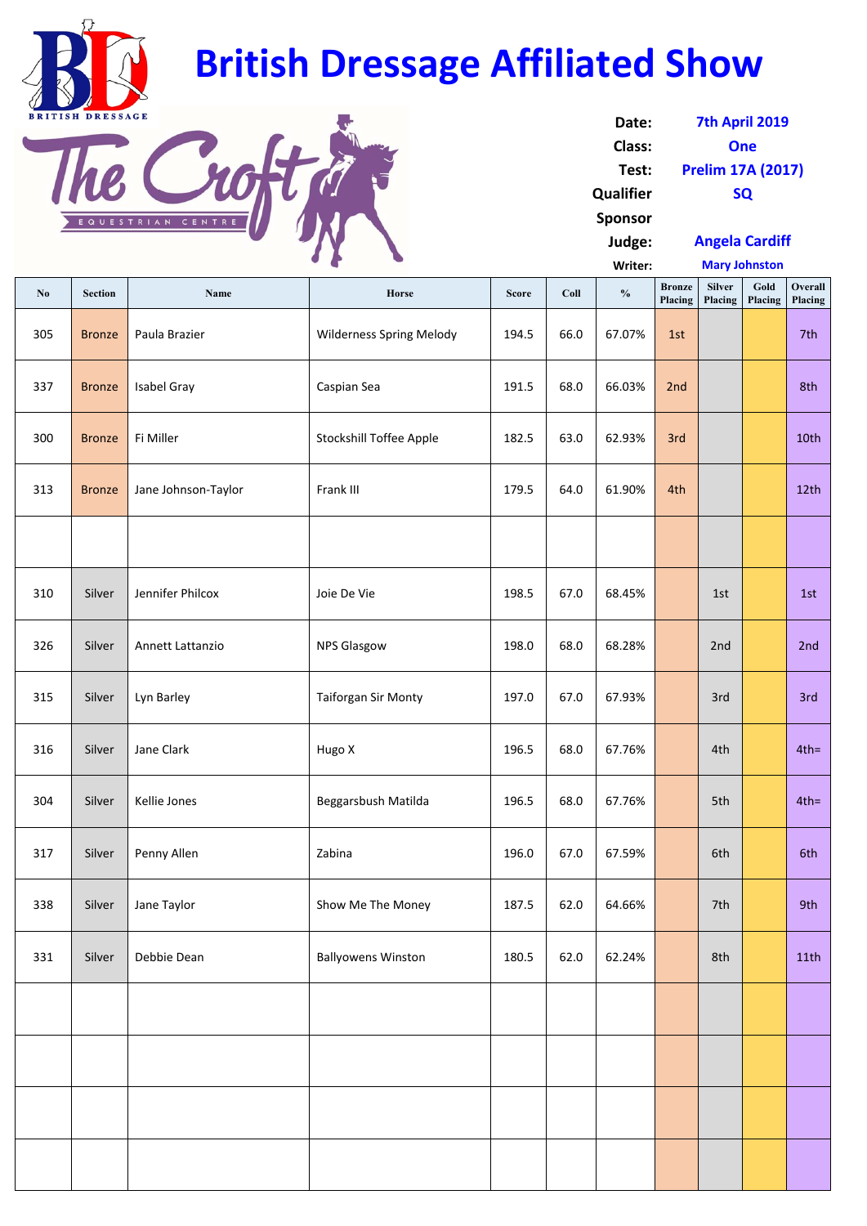**Writer: No** Section Name Name Horse Score Coll 9% Bronze **Placing Silver Placing Gold Placing Overall Placing** 305 | Bronze | Paula Brazier | Wilderness Spring Melody | 194.5 | 66.0 | 67.07% | 1st | | | | | | | | | | | | | 337 <mark>Bronze Isabel Gray New Steater School Caspian Sea 191.5 | 68.0 | 66.03% 2nd 191.5 | 68.0 | 66.03% 2nd 191</mark> 300 | Bronze | Fi Miller | Stockshill Toffee Apple | 182.5 | 63.0 | 62.93% | 3rd | | | | | | | 10th 313 Bronze Jane Johnson‐Taylor Frank III 179.5 64.0 61.90% 4th 12th 310 | Silver | Jennifer Philcox | Joie De Vie 198.5 | 07.0 | 68.45% | 198.5 | 1st | 1st | 1st **Mary Johnston**

| Date:          | 7th April 2019           |
|----------------|--------------------------|
| Class:         | One                      |
| Test:          | <b>Prelim 17A (2017)</b> |
| Qualifier      | <b>SQ</b>                |
| <b>Sponsor</b> |                          |
| Judge:         | <b>Angela Cardiff</b>    |

| 326 | Silver | Annett Lattanzio | <b>NPS Glasgow</b>         | 198.0 | 68.0 | 68.28% | 2nd | 2nd     |  |
|-----|--------|------------------|----------------------------|-------|------|--------|-----|---------|--|
| 315 | Silver | Lyn Barley       | <b>Taiforgan Sir Monty</b> | 197.0 | 67.0 | 67.93% | 3rd | 3rd     |  |
| 316 | Silver | Jane Clark       | Hugo X                     | 196.5 | 68.0 | 67.76% | 4th | $4th =$ |  |
| 304 | Silver | Kellie Jones     | Beggarsbush Matilda        | 196.5 | 68.0 | 67.76% | 5th | $4th =$ |  |
| 317 | Silver | Penny Allen      | Zabina                     | 196.0 | 67.0 | 67.59% | 6th | 6th     |  |
| 338 | Silver | Jane Taylor      | Show Me The Money          | 187.5 | 62.0 | 64.66% | 7th | 9th     |  |

| 331 | Silver | Debbie Dean | <b>Ballyowens Winston</b> | 180.5 | 62.0 | 62.24% | 8th | 11th |
|-----|--------|-------------|---------------------------|-------|------|--------|-----|------|
|     |        |             |                           |       |      |        |     |      |
|     |        |             |                           |       |      |        |     |      |
|     |        |             |                           |       |      |        |     |      |
|     |        |             |                           |       |      |        |     |      |



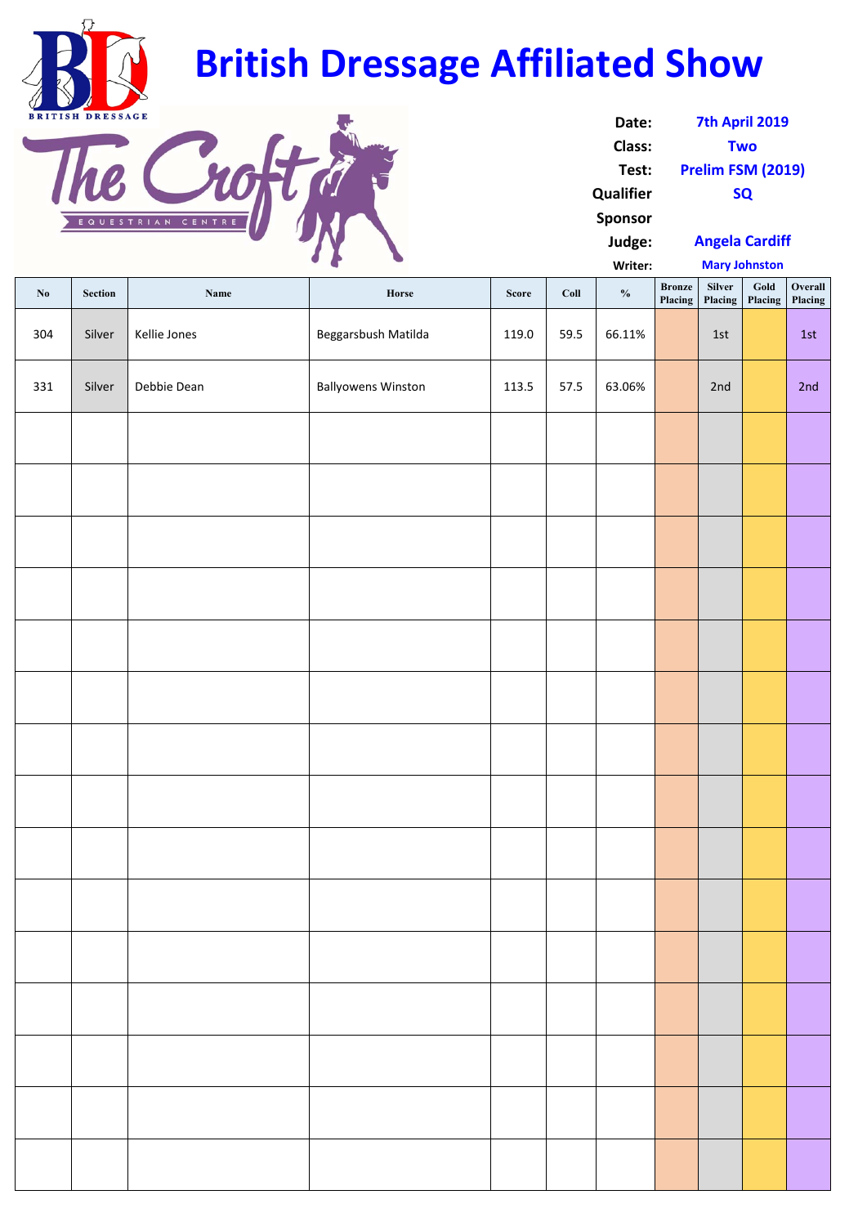**Writer:**

| $\mathbf{N}\mathbf{0}$ | Section | Name         | Horse                     | <b>Score</b> | Coll | $\mathbf{0}_{\mathbf{0}}^{\prime}$ | <b>Bronze</b><br>Placing | Silver<br>Placing | Gold<br>Placing | Overall<br>Placing |
|------------------------|---------|--------------|---------------------------|--------------|------|------------------------------------|--------------------------|-------------------|-----------------|--------------------|
| 304                    | Silver  | Kellie Jones | Beggarsbush Matilda       | 119.0        | 59.5 | 66.11%                             |                          | 1st               |                 | 1st                |
| 331                    | Silver  | Debbie Dean  | <b>Ballyowens Winston</b> | 113.5        | 57.5 | 63.06%                             |                          | 2nd               |                 | 2nd                |
|                        |         |              |                           |              |      |                                    |                          |                   |                 |                    |
|                        |         |              |                           |              |      |                                    |                          |                   |                 |                    |
|                        |         |              |                           |              |      |                                    |                          |                   |                 |                    |
|                        |         |              |                           |              |      |                                    |                          |                   |                 |                    |
|                        |         |              |                           |              |      |                                    |                          |                   |                 |                    |
|                        |         |              |                           |              |      |                                    |                          |                   |                 |                    |
|                        |         |              |                           |              |      |                                    |                          |                   |                 |                    |
|                        |         |              |                           |              |      |                                    |                          |                   |                 |                    |
|                        |         |              |                           |              |      |                                    |                          |                   |                 |                    |
|                        |         |              |                           |              |      |                                    |                          |                   |                 |                    |
|                        |         |              |                           |              |      |                                    |                          |                   |                 |                    |
|                        |         |              |                           |              |      |                                    |                          |                   |                 |                    |
|                        |         |              |                           |              |      |                                    |                          |                   |                 |                    |
|                        |         |              |                           |              |      |                                    |                          |                   |                 |                    |
|                        |         |              |                           |              |      |                                    |                          |                   |                 |                    |

| Date:            | 7th April 2019        |
|------------------|-----------------------|
| Class:           | <b>Two</b>            |
| Test:            | Prelim FSM (2019)     |
| <b>Qualifier</b> | <b>SQ</b>             |
| <b>Sponsor</b>   |                       |
| Judge:           | <b>Angela Cardiff</b> |

**Mary Johnston**



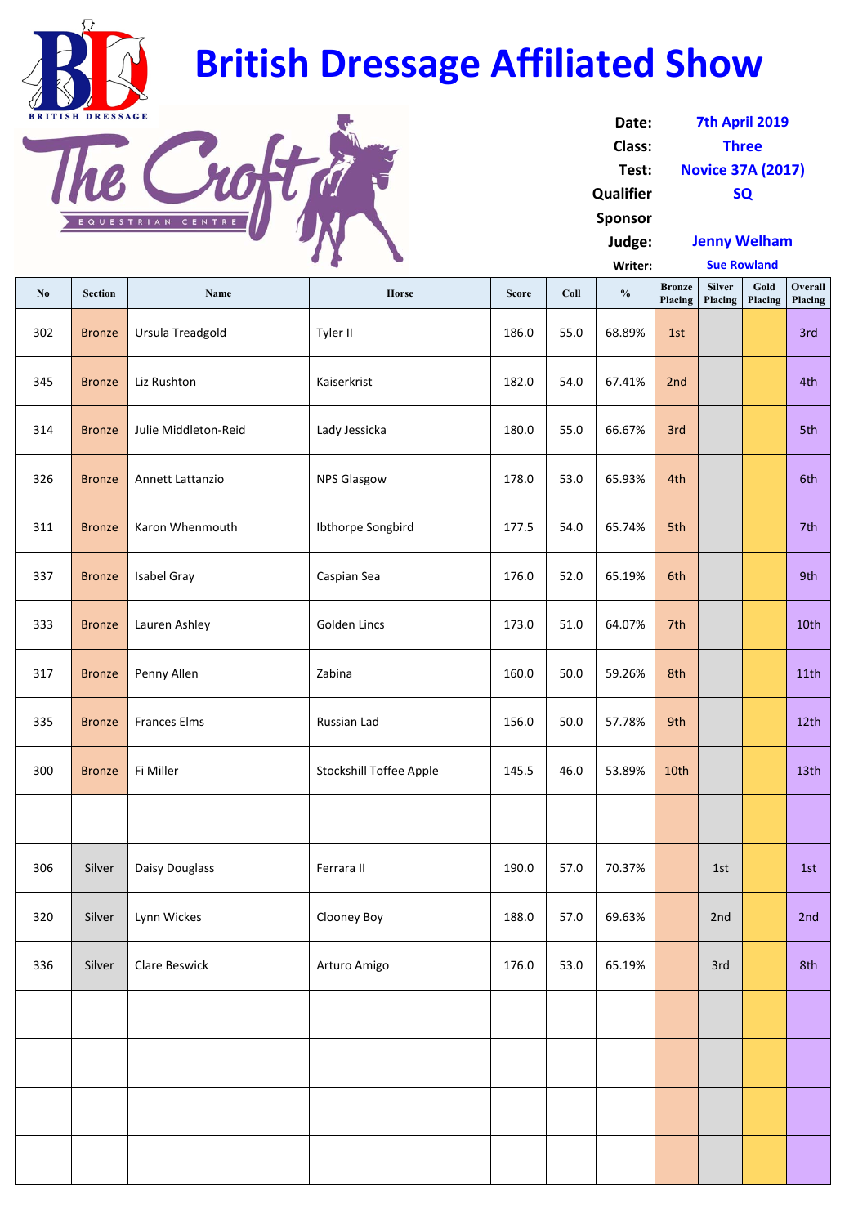**Writer: No** Section Name Name Horse Score Coll 9% Bronze **Placing Silver Placing Gold Placing Overall Placing** 302 Bronze Ursula Treadgold Tyler II 186.0 55.0 68.89% 1st 3rd 345 <mark>Bronze Liz Rushton 1980 | Kaiserkrist 182.0 | 182.0 | 54.0 | 67.41% | 2nd | 182.0 | 81 | 182.0 | 67.41% | 2nd |</mark> 314 Bronze Julie Middleton-Reid | Lady Jessicka | 180.0 | 55.0 | 66.67% 3rd | | | | | | | | | | | | | | | | | | 326 Bronze Annett Lattanzio | NPS Glasgow | 178.0 | 53.0 | 65.93% | 4th | | | | | | 6th 311 | Bronze | Karon Whenmouth | Ibthorpe Songbird | 177.5 | 54.0 | 65.74% | 5th | | | | | | | | | | | | | | | 337 <mark>Bronze Isabel Gray New Steater Steater Steater Steater Steater 176.0 | 52.0 | 65.19% 6th | 176.0 | 65.19% 6th</mark> 333 <mark>Bronze Lauren Ashley 10th | Golden Lincs 1996 | 173.0 | 51.0 | 64.07% | 7th | 10th | 10th | 10th | 10th | 10th | 10th | 10th | 10th | 10th | 10th | 10th | 10th | 10th | 10th | 10th | 10th | 10th | 10th | 10th | 10th |</mark> 317 Bronze Penny Allen 11th | Zabina 160.0 | 200 | 200 | 59.26% 8th | 11th 335 Bronze Frances Elms (Russian Lad 156.0 | 50.0 | 57.78% 9th 1 | 12th 300 | Bronze | Fi Miller | Stockshill Toffee Apple | 145.5 | 46.0 | 53.89% <mark>10th | | | |</mark> 13th 306 Silver Daisy Douglass Ferrara II 190.0 57.0 70.37% 1st 1st **Sue Rowland**

| Date:          | 7th April 2019           |
|----------------|--------------------------|
| <b>Class:</b>  | <b>Three</b>             |
| Test:          | <b>Novice 37A (2017)</b> |
| Qualifier      | <b>SQ</b>                |
| <b>Sponsor</b> |                          |
| Judge:         | <b>Jenny Welham</b>      |

| 336 | Silver | <b>Clare Beswick</b> | Arturo Amigo | 176.0 | 53.0 | 65.19% | 3rd | 8th |
|-----|--------|----------------------|--------------|-------|------|--------|-----|-----|
|     |        |                      |              |       |      |        |     |     |
|     |        |                      |              |       |      |        |     |     |
|     |        |                      |              |       |      |        |     |     |
|     |        |                      |              |       |      |        |     |     |

320 | Silver | Lynn Wickes | Clooney Boy | 188.0 | 57.0 | 69.63% | | 2nd | | 2nd



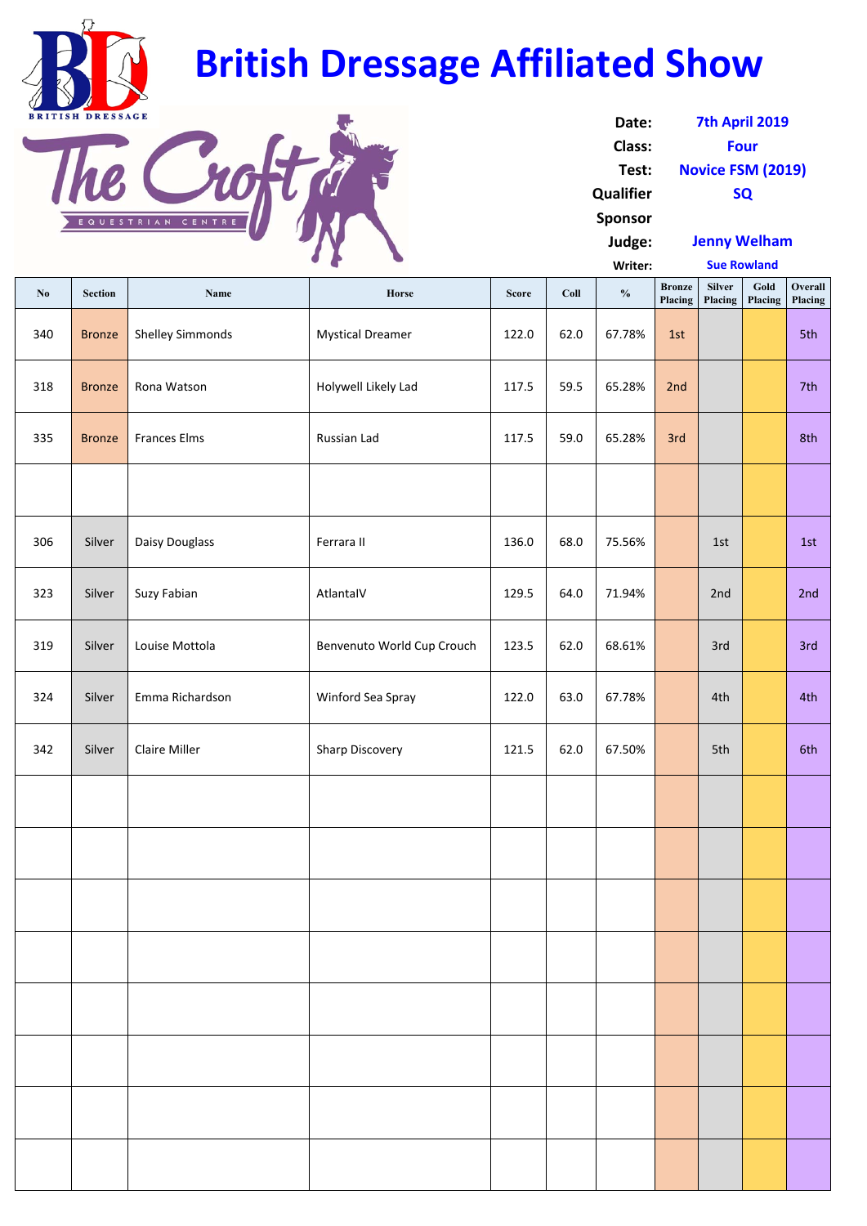**Writer: No** Section Name Name Horse Score Coll 9% Bronze **Placing Silver Placing Gold Placing Overall Placing** 340 Bronze Shelley Simmonds Mystical Dreamer 122.0 62.0 67.78% 1st 318 | Bronze | Rona Watson | Holywell Likely Lad | 117.5 | 59.5 | 65.28% | 2nd | | | | | | | | | | | | | | | | 335 <mark>Bronze Frances Elms (2008) Russian Lad 117.5 | 59.0 | 65.28% 3rd | 1996 | 8th</mark> 306 | Silver | Daisy Douglass | Ferrara II | 136.0 | 68.0 | 75.56% | 1st | 1st | 1st 323 | Silver | Suzy Fabian | AtlantaIV | 129.5 | 64.0 | 71.94% | | 2nd | | 2nd 319 | Silver | Louise Mottola | Benvenuto World Cup Crouch | 123.5 | 62.0 | 68.61% | | 3rd | | | 3rd 324 | Silver | Emma Richardson | Winford Sea Spray | 122.0 | 63.0 | 67.78% | | 4th | | | 4th 342 | Silver | Claire Miller | Sharp Discovery | 121.5 | 62.0 | 67.50% | Sth | Sth | 6th **Sue Rowland**

| Date:          | 7th April 2019           |
|----------------|--------------------------|
| Class:         | <b>Four</b>              |
| Test:          | <b>Novice FSM (2019)</b> |
| Qualifier      | <b>SQ</b>                |
| <b>Sponsor</b> |                          |
| Judge:         | <b>Jenny Welham</b>      |



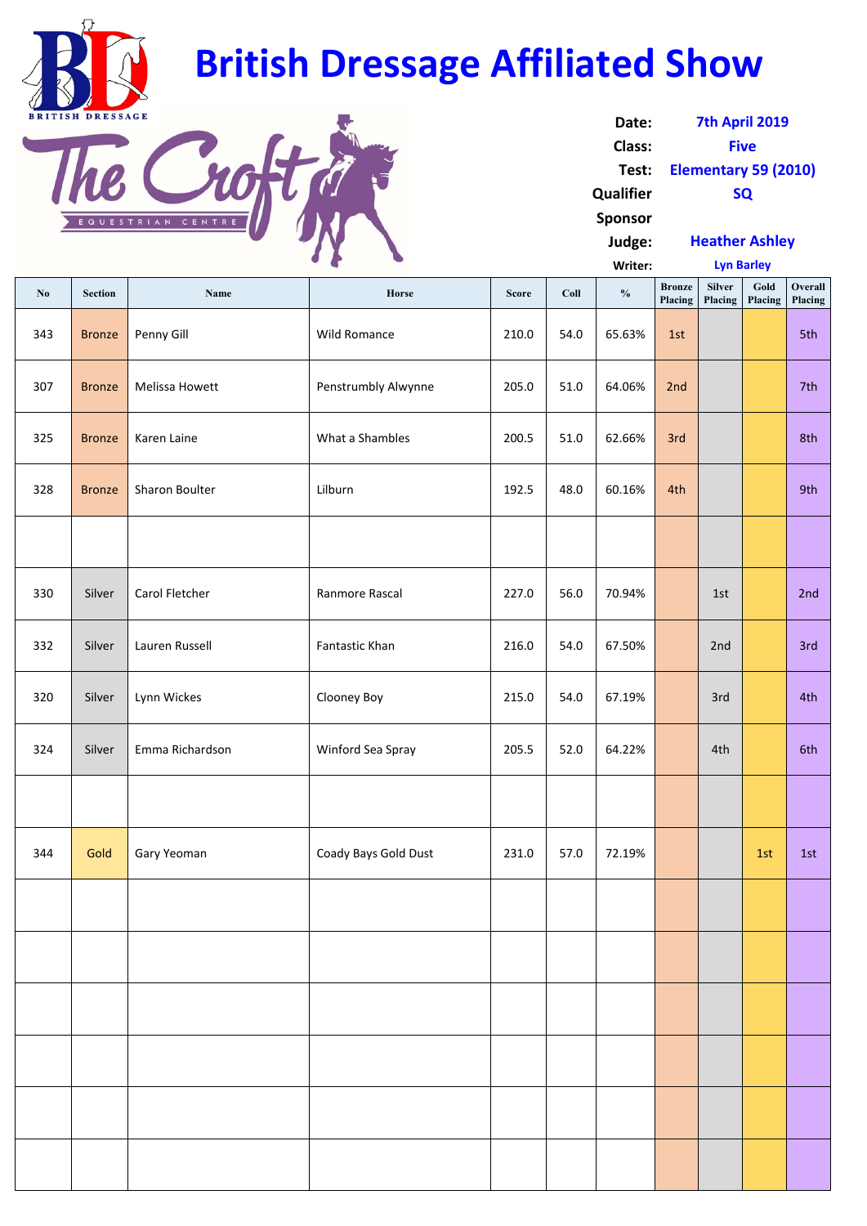|                        |                |                       |                      |              | Writer: | <b>Lyn Barley</b> |                          |                          |                 |                           |
|------------------------|----------------|-----------------------|----------------------|--------------|---------|-------------------|--------------------------|--------------------------|-----------------|---------------------------|
| $\mathbf{N}\mathbf{0}$ | <b>Section</b> | <b>Name</b>           | Horse                | <b>Score</b> | Coll    | $\frac{0}{0}$     | <b>Bronze</b><br>Placing | <b>Silver</b><br>Placing | Gold<br>Placing | <b>Overall</b><br>Placing |
| 343                    | <b>Bronze</b>  | Penny Gill            | <b>Wild Romance</b>  | 210.0        | 54.0    | 65.63%            | 1st                      |                          |                 | 5th                       |
| 307                    | <b>Bronze</b>  | <b>Melissa Howett</b> | Penstrumbly Alwynne  | 205.0        | 51.0    | 64.06%            | 2nd                      |                          |                 | 7th                       |
| 325                    | <b>Bronze</b>  | Karen Laine           | What a Shambles      | 200.5        | 51.0    | 62.66%            | 3rd                      |                          |                 | 8th                       |
| 328                    | <b>Bronze</b>  | Sharon Boulter        | Lilburn              | 192.5        | 48.0    | 60.16%            | 4th                      |                          |                 | 9th                       |
|                        |                |                       |                      |              |         |                   |                          |                          |                 |                           |
| 330                    | Silver         | Carol Fletcher        | Ranmore Rascal       | 227.0        | 56.0    | 70.94%            |                          | 1st                      |                 | 2nd                       |
| 332                    | Silver         | Lauren Russell        | Fantastic Khan       | 216.0        | 54.0    | 67.50%            |                          | 2nd                      |                 | 3rd                       |
| 320                    | Silver         | Lynn Wickes           | <b>Clooney Boy</b>   | 215.0        | 54.0    | 67.19%            |                          | 3rd                      |                 | 4th                       |
| 324                    | Silver         | Emma Richardson       | Winford Sea Spray    | 205.5        | 52.0    | 64.22%            |                          | 4th                      |                 | 6th                       |
|                        |                |                       |                      |              |         |                   |                          |                          |                 |                           |
| 344                    | Gold           | Gary Yeoman           | Coady Bays Gold Dust | 231.0        | 57.0    | 72.19%            |                          |                          | 1st             | 1st                       |
|                        |                |                       |                      |              |         |                   |                          |                          |                 |                           |

| Date:          | 7th April 2019              |
|----------------|-----------------------------|
| Class:         | <b>Five</b>                 |
| Test:          | <b>Elementary 59 (2010)</b> |
| Qualifier      | <b>SQ</b>                   |
| <b>Sponsor</b> |                             |
| Judge:         | <b>Heather Ashley</b>       |